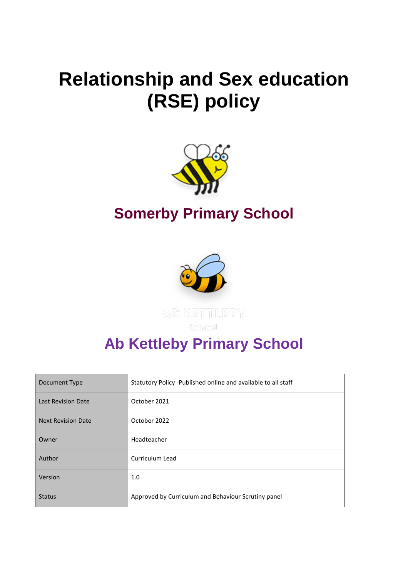# **Relationship and Sex education (RSE) policy**



# **Somerby Primary School**



# **Ab Kettleby Primary School**

| Document Type             | Statutory Policy -Published online and available to all staff |
|---------------------------|---------------------------------------------------------------|
| Last Revision Date        | October 2021                                                  |
| <b>Next Revision Date</b> | October 2022                                                  |
| Owner                     | Headteacher                                                   |
| Author                    | Curriculum Lead                                               |
| Version                   | 1.0                                                           |
| <b>Status</b>             | Approved by Curriculum and Behaviour Scrutiny panel           |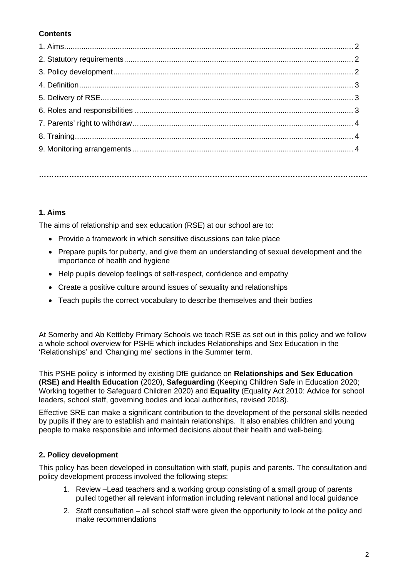# **Contents**

**…………………………………………………………………………………………………………………..**

# **1. Aims**

The aims of relationship and sex education (RSE) at our school are to:

- Provide a framework in which sensitive discussions can take place
- Prepare pupils for puberty, and give them an understanding of sexual development and the importance of health and hygiene
- Help pupils develop feelings of self-respect, confidence and empathy
- Create a positive culture around issues of sexuality and relationships
- Teach pupils the correct vocabulary to describe themselves and their bodies

At Somerby and Ab Kettleby Primary Schools we teach RSE as set out in this policy and we follow a whole school overview for PSHE which includes Relationships and Sex Education in the 'Relationships' and 'Changing me' sections in the Summer term.

This PSHE policy is informed by existing DfE guidance on **Relationships and Sex Education (RSE) and Health Education** (2020), **Safeguarding** (Keeping Children Safe in Education 2020; Working together to Safeguard Children 2020) and **Equality** (Equality Act 2010: Advice for school leaders, school staff, governing bodies and local authorities, revised 2018).

Effective SRE can make a significant contribution to the development of the personal skills needed by pupils if they are to establish and maintain relationships. It also enables children and young people to make responsible and informed decisions about their health and well-being.

# **2. Policy development**

This policy has been developed in consultation with staff, pupils and parents. The consultation and policy development process involved the following steps:

- 1. Review –Lead teachers and a working group consisting of a small group of parents pulled together all relevant information including relevant national and local guidance
- 2. Staff consultation all school staff were given the opportunity to look at the policy and make recommendations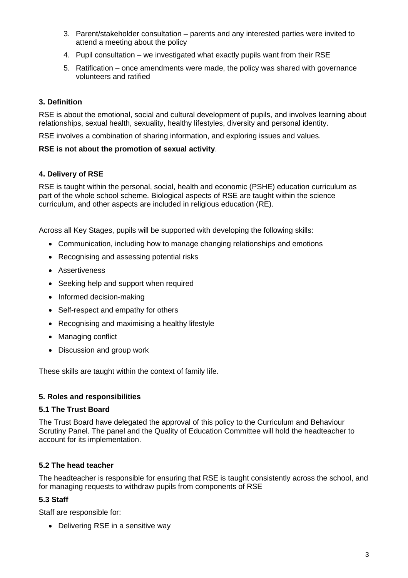- 3. Parent/stakeholder consultation parents and any interested parties were invited to attend a meeting about the policy
- 4. Pupil consultation we investigated what exactly pupils want from their RSE
- 5. Ratification once amendments were made, the policy was shared with governance volunteers and ratified

# **3. Definition**

RSE is about the emotional, social and cultural development of pupils, and involves learning about relationships, sexual health, sexuality, healthy lifestyles, diversity and personal identity.

RSE involves a combination of sharing information, and exploring issues and values.

#### **RSE is not about the promotion of sexual activity**.

#### **4. Delivery of RSE**

RSE is taught within the personal, social, health and economic (PSHE) education curriculum as part of the whole school scheme. Biological aspects of RSE are taught within the science curriculum, and other aspects are included in religious education (RE).

Across all Key Stages, pupils will be supported with developing the following skills:

- Communication, including how to manage changing relationships and emotions
- Recognising and assessing potential risks
- Assertiveness
- Seeking help and support when required
- Informed decision-making
- Self-respect and empathy for others
- Recognising and maximising a healthy lifestyle
- Managing conflict
- Discussion and group work

These skills are taught within the context of family life.

#### **5. Roles and responsibilities**

#### **5.1 The Trust Board**

The Trust Board have delegated the approval of this policy to the Curriculum and Behaviour Scrutiny Panel. The panel and the Quality of Education Committee will hold the headteacher to account for its implementation.

#### **5.2 The head teacher**

The headteacher is responsible for ensuring that RSE is taught consistently across the school, and for managing requests to withdraw pupils from components of RSE

#### **5.3 Staff**

Staff are responsible for:

• Delivering RSE in a sensitive way